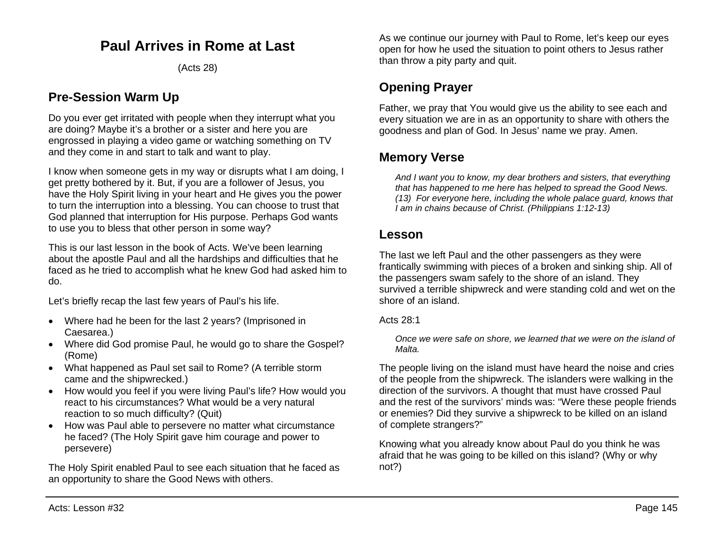# **Paul Arrives in Rome at Last**

(Acts 28)

# **Pre-Session Warm Up**

Do you ever get irritated with people when they interrupt what you are doing? Maybe it's a brother or a sister and here you are engrossed in playing a video game or watching something on TV and they come in and start to talk and want to play.

I know when someone gets in my way or disrupts what I am doing, I get pretty bothered by it. But, if you are a follower of Jesus, you have the Holy Spirit living in your heart and He gives you the power to turn the interruption into a blessing. You can choose to trust that God planned that interruption for His purpose. Perhaps God wants to use you to bless that other person in some way?

This is our last lesson in the book of Acts. We've been learning about the apostle Paul and all the hardships and difficulties that he faced as he tried to accomplish what he knew God had asked him to do.

Let's briefly recap the last few years of Paul's his life.

- Where had he been for the last 2 years? (Imprisoned in Caesarea.)
- Where did God promise Paul, he would go to share the Gospel? (Rome)
- What happened as Paul set sail to Rome? (A terrible storm came and the shipwrecked.)
- How would you feel if you were living Paul's life? How would you react to his circumstances? What would be a very natural reaction to so much difficulty? (Quit)
- How was Paul able to persevere no matter what circumstance he faced? (The Holy Spirit gave him courage and power to persevere)

The Holy Spirit enabled Paul to see each situation that he faced as an opportunity to share the Good News with others.

As we continue our journey with Paul to Rome, let's keep our eyes open for how he used the situation to point others to Jesus rather than throw a pity party and quit.

# **Opening Prayer**

Father, we pray that You would give us the ability to see each and every situation we are in as an opportunity to share with others the goodness and plan of God. In Jesus' name we pray. Amen.

## **Memory Verse**

*And I want you to know, my dear brothers and sisters, that everything that has happened to me here has helped to spread the Good News. (13) For everyone here, including the whole palace guard, knows that I am in chains because of Christ. (Philippians 1:12-13)*

### **Lesson**

The last we left Paul and the other passengers as they were frantically swimming with pieces of a broken and sinking ship. All of the passengers swam safely to the shore of an island. They survived a terrible shipwreck and were standing cold and wet on the shore of an island.

### Acts 28:1

*Once we were safe on shore, we learned that we were on the island of Malta.*

The people living on the island must have heard the noise and cries of the people from the shipwreck. The islanders were walking in the direction of the survivors. A thought that must have crossed Paul and the rest of the survivors' minds was: "Were these people friends or enemies? Did they survive a shipwreck to be killed on an island of complete strangers?"

Knowing what you already know about Paul do you think he was afraid that he was going to be killed on this island? (Why or why not?)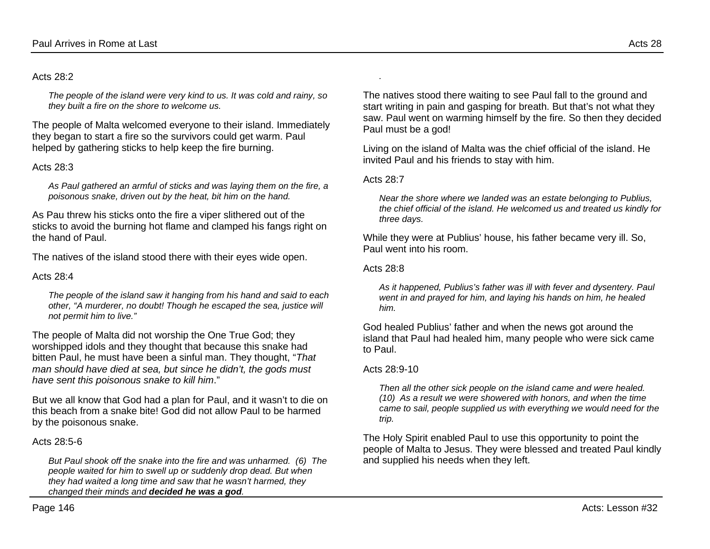#### Acts 28:2

*The people of the island were very kind to us. It was cold and rainy, so they built a fire on the shore to welcome us.*

The people of Malta welcomed everyone to their island. Immediately they began to start a fire so the survivors could get warm. Paul helped by gathering sticks to help keep the fire burning.

#### Acts 28:3

*As Paul gathered an armful of sticks and was laying them on the fire, a poisonous snake, driven out by the heat, bit him on the hand.*

As Pau threw his sticks onto the fire a viper slithered out of the sticks to avoid the burning hot flame and clamped his fangs right on the hand of Paul.

The natives of the island stood there with their eyes wide open.

#### Acts 28:4

*The people of the island saw it hanging from his hand and said to each other, "A murderer, no doubt! Though he escaped the sea, justice will not permit him to live."*

The people of Malta did not worship the One True God; they worshipped idols and they thought that because this snake had bitten Paul, he must have been a sinful man. They thought, "*That man should have died at sea, but since he didn't, the gods must have sent this poisonous snake to kill him*."

But we all know that God had a plan for Paul, and it wasn't to die on this beach from a snake bite! God did not allow Paul to be harmed by the poisonous snake.

#### Acts 28:5-6

*But Paul shook off the snake into the fire and was unharmed. (6) The people waited for him to swell up or suddenly drop dead. But when they had waited a long time and saw that he wasn't harmed, they changed their minds and decided he was a god.*

The natives stood there waiting to see Paul fall to the ground and start writing in pain and gasping for breath. But that's not what they saw. Paul went on warming himself by the fire. So then they decided Paul must be a god!

Living on the island of Malta was the chief official of the island. He invited Paul and his friends to stay with him.

#### Acts 28:7

*.* 

*Near the shore where we landed was an estate belonging to Publius, the chief official of the island. He welcomed us and treated us kindly for three days.*

While they were at Publius' house, his father became very ill. So, Paul went into his room.

#### Acts 28:8

*As it happened, Publius's father was ill with fever and dysentery. Paul went in and prayed for him, and laying his hands on him, he healed him.*

God healed Publius' father and when the news got around the island that Paul had healed him, many people who were sick came to Paul.

#### Acts 28:9-10

*Then all the other sick people on the island came and were healed. (10) As a result we were showered with honors, and when the time came to sail, people supplied us with everything we would need for the trip.*

The Holy Spirit enabled Paul to use this opportunity to point the people of Malta to Jesus. They were blessed and treated Paul kindly and supplied his needs when they left.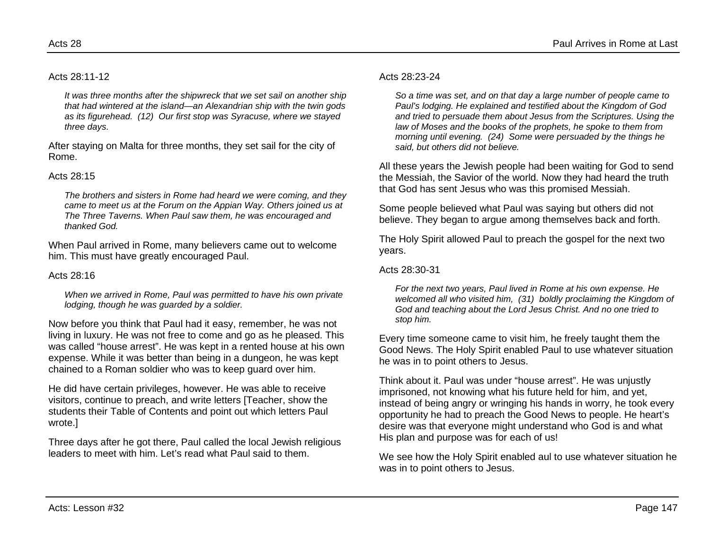Acts 28:11-12

*It was three months after the shipwreck that we set sail on another ship that had wintered at the island—an Alexandrian ship with the twin gods as its figurehead. (12) Our first stop was Syracuse, where we stayed three days.*

After staying on Malta for three months, they set sail for the city of Rome.

#### Acts 28:15

*The brothers and sisters in Rome had heard we were coming, and they came to meet us at the Forum on the Appian Way. Others joined us at The Three Taverns. When Paul saw them, he was encouraged and thanked God.*

When Paul arrived in Rome, many believers came out to welcome him. This must have greatly encouraged Paul.

#### Acts 28:16

*When we arrived in Rome, Paul was permitted to have his own private lodging, though he was guarded by a soldier.*

Now before you think that Paul had it easy, remember, he was not living in luxury. He was not free to come and go as he pleased. This was called "house arrest". He was kept in a rented house at his own expense. While it was better than being in a dungeon, he was kept chained to a Roman soldier who was to keep guard over him.

He did have certain privileges, however. He was able to receive visitors, continue to preach, and write letters [Teacher, show the students their Table of Contents and point out which letters Paul wrote.]

Three days after he got there, Paul called the local Jewish religious leaders to meet with him. Let's read what Paul said to them.

#### Acts 28:23-24

*So a time was set, and on that day a large number of people came to Paul's lodging. He explained and testified about the Kingdom of God and tried to persuade them about Jesus from the Scriptures. Using the law of Moses and the books of the prophets, he spoke to them from morning until evening. (24) Some were persuaded by the things he said, but others did not believe.*

All these years the Jewish people had been waiting for God to send the Messiah, the Savior of the world. Now they had heard the truth that God has sent Jesus who was this promised Messiah.

Some people believed what Paul was saying but others did not believe. They began to argue among themselves back and forth.

The Holy Spirit allowed Paul to preach the gospel for the next two years.

#### Acts 28:30-31

*For the next two years, Paul lived in Rome at his own expense. He welcomed all who visited him, (31) boldly proclaiming the Kingdom of God and teaching about the Lord Jesus Christ. And no one tried to stop him.*

Every time someone came to visit him, he freely taught them the Good News. The Holy Spirit enabled Paul to use whatever situation he was in to point others to Jesus.

Think about it. Paul was under "house arrest". He was unjustly imprisoned, not knowing what his future held for him, and yet, instead of being angry or wringing his hands in worry, he took every opportunity he had to preach the Good News to people. He heart's desire was that everyone might understand who God is and what His plan and purpose was for each of us!

We see how the Holy Spirit enabled aul to use whatever situation he was in to point others to Jesus.